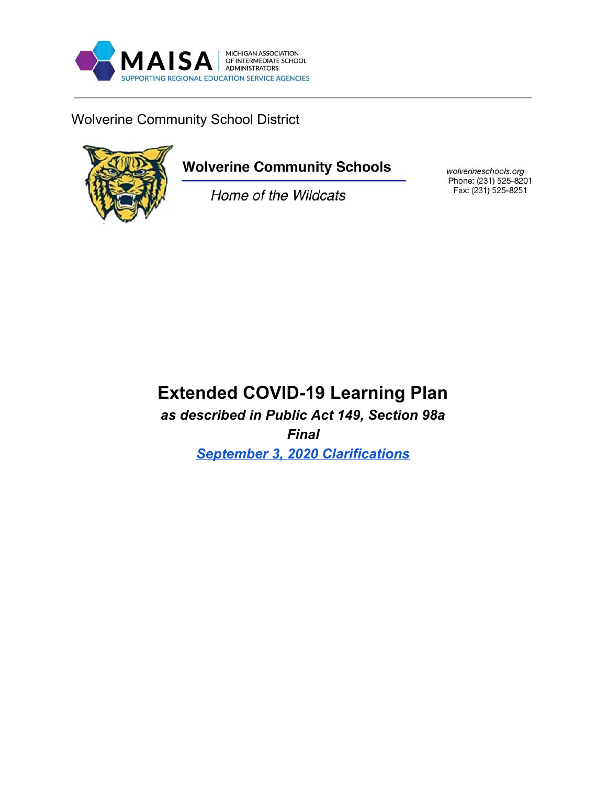

Wolverine Community School District



# **Wolverine Community Schools**

Home of the Wildcats

wolverineschools.org Phone: (231) 525-8201 Fax: (231) 525-8251

## **Extended COVID-19 Learning Plan**

*as described in Public Act 149, Section 98a Final September 3, 2020 [Clarifications](https://docs.google.com/document/d/1Zp8D-3FEKJP9ez4HuNKpmflaDzb72HhWuQLIRftfsQs/edit?usp=sharing)*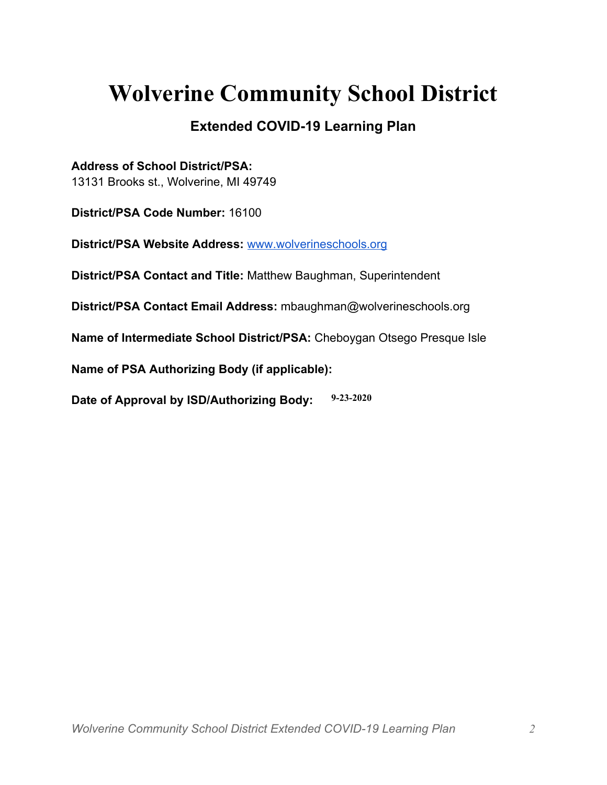# **Wolverine Community School District**

## **Extended COVID-19 Learning Plan**

**Address of School District/PSA:**

13131 Brooks st., Wolverine, MI 49749

**District/PSA Code Number:** 16100

**District/PSA Website Address:** [www.wolverineschools.org](http://www.wolverineschools.org/)

**District/PSA Contact and Title:** Matthew Baughman, Superintendent

**District/PSA Contact Email Address:** mbaughman@wolverineschools.org

**Name of Intermediate School District/PSA:** Cheboygan Otsego Presque Isle

**Name of PSA Authorizing Body (if applicable):**

**Date of Approval by ISD/Authorizing Body: 9-23-2020**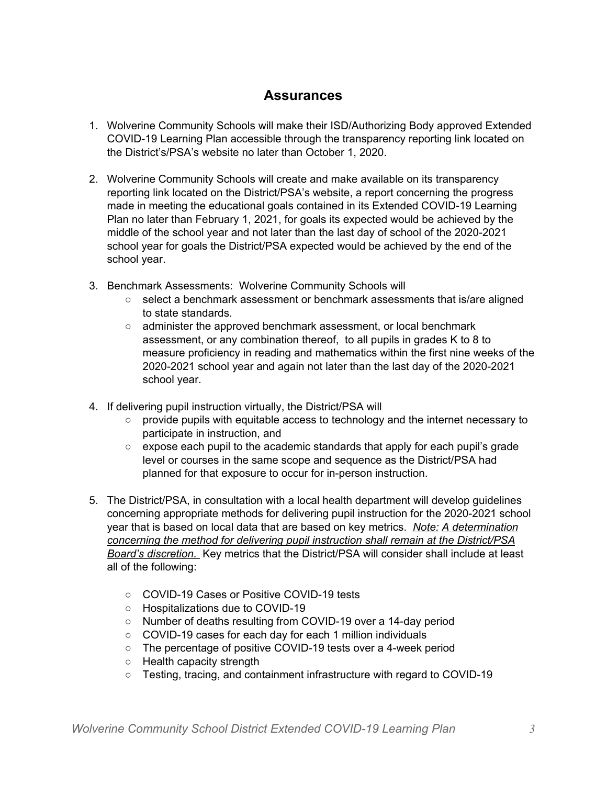### **Assurances**

- 1. Wolverine Community Schools will make their ISD/Authorizing Body approved Extended COVID-19 Learning Plan accessible through the transparency reporting link located on the District's/PSA's website no later than October 1, 2020.
- 2. Wolverine Community Schools will create and make available on its transparency reporting link located on the District/PSA's website, a report concerning the progress made in meeting the educational goals contained in its Extended COVID-19 Learning Plan no later than February 1, 2021, for goals its expected would be achieved by the middle of the school year and not later than the last day of school of the 2020-2021 school year for goals the District/PSA expected would be achieved by the end of the school year.
- 3. Benchmark Assessments: Wolverine Community Schools will
	- select a benchmark assessment or benchmark assessments that is/are aligned to state standards.
	- administer the approved benchmark assessment, or local benchmark assessment, or any combination thereof, to all pupils in grades K to 8 to measure proficiency in reading and mathematics within the first nine weeks of the 2020-2021 school year and again not later than the last day of the 2020-2021 school year.
- 4. If delivering pupil instruction virtually, the District/PSA will
	- provide pupils with equitable access to technology and the internet necessary to participate in instruction, and
	- $\circ$  expose each pupil to the academic standards that apply for each pupil's grade level or courses in the same scope and sequence as the District/PSA had planned for that exposure to occur for in-person instruction.
- 5. The District/PSA, in consultation with a local health department will develop guidelines concerning appropriate methods for delivering pupil instruction for the 2020-2021 school year that is based on local data that are based on key metrics. *Note: A determination concerning the method for delivering pupil instruction shall remain at the District/PSA Board's discretion.* Key metrics that the District/PSA will consider shall include at least all of the following:
	- COVID-19 Cases or Positive COVID-19 tests
	- Hospitalizations due to COVID-19
	- Number of deaths resulting from COVID-19 over a 14-day period
	- COVID-19 cases for each day for each 1 million individuals
	- The percentage of positive COVID-19 tests over a 4-week period
	- Health capacity strength
	- Testing, tracing, and containment infrastructure with regard to COVID-19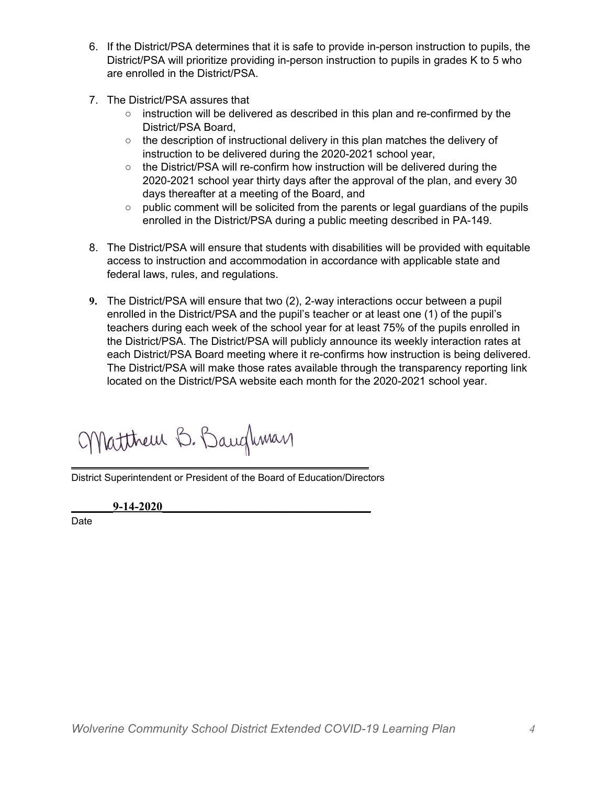- 6. If the District/PSA determines that it is safe to provide in-person instruction to pupils, the District/PSA will prioritize providing in-person instruction to pupils in grades K to 5 who are enrolled in the District/PSA.
- 7. The District/PSA assures that
	- instruction will be delivered as described in this plan and re-confirmed by the District/PSA Board,
	- $\circ$  the description of instructional delivery in this plan matches the delivery of instruction to be delivered during the 2020-2021 school year,
	- the District/PSA will re-confirm how instruction will be delivered during the 2020-2021 school year thirty days after the approval of the plan, and every 30 days thereafter at a meeting of the Board, and
	- public comment will be solicited from the parents or legal guardians of the pupils enrolled in the District/PSA during a public meeting described in PA-149.
- 8. The District/PSA will ensure that students with disabilities will be provided with equitable access to instruction and accommodation in accordance with applicable state and federal laws, rules, and regulations.
- **9.** The District/PSA will ensure that two (2), 2-way interactions occur between a pupil enrolled in the District/PSA and the pupil's teacher or at least one (1) of the pupil's teachers during each week of the school year for at least 75% of the pupils enrolled in the District/PSA. The District/PSA will publicly announce its weekly interaction rates at each District/PSA Board meeting where it re-confirms how instruction is being delivered. The District/PSA will make those rates available through the transparency reporting link located on the District/PSA website each month for the 2020-2021 school year.

Matthew B. Baughman

District Superintendent or President of the Board of Education/Directors

\_\_\_\_\_\_\_\_\_\_\_\_\_\_\_\_\_\_\_\_\_\_\_\_\_\_\_\_\_\_\_\_\_\_\_\_\_\_\_\_\_\_\_\_\_\_\_\_\_\_

\_\_\_\_\_\_\_**9-14-2020**\_\_\_\_\_\_\_\_\_\_\_\_\_\_\_\_\_\_\_\_\_\_\_\_\_\_\_\_\_\_\_\_\_\_\_

Date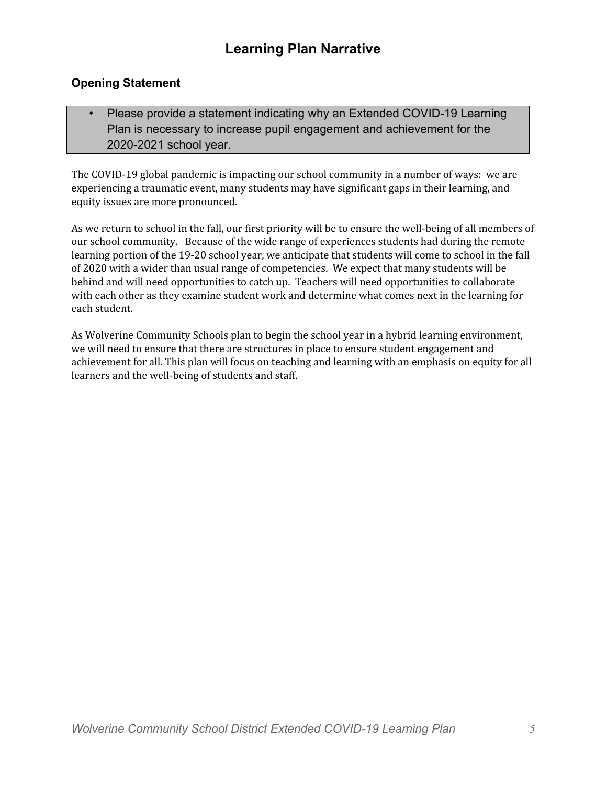#### **Opening Statement**

• Please provide a statement indicating why an Extended COVID-19 Learning Plan is necessary to increase pupil engagement and achievement for the 2020-2021 school year.

The COVID-19 global pandemic is impacting our school community in a number of ways: we are experiencing a traumatic event, many students may have significant gaps in their learning, and equity issues are more pronounced.

As we return to school in the fall, our first priority will be to ensure the well-being of all members of our school community. Because of the wide range of experiences students had during the remote learning portion of the 19-20 school year, we anticipate that students will come to school in the fall of 2020 with a wider than usual range of competencies. We expect that many students will be behind and will need opportunities to catch up. Teachers will need opportunities to collaborate with each other as they examine student work and determine what comes next in the learning for each student.

As Wolverine Community Schools plan to begin the school year in a hybrid learning environment, we will need to ensure that there are structures in place to ensure student engagement and achievement for all. This plan will focus on teaching and learning with an emphasis on equity for all learners and the well-being of students and staff.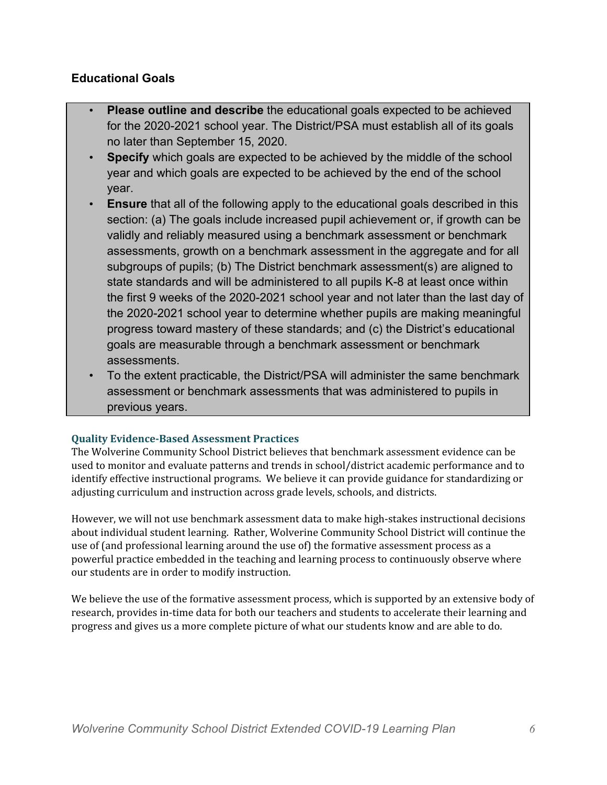#### **Educational Goals**

- **Please outline and describe** the educational goals expected to be achieved for the 2020-2021 school year. The District/PSA must establish all of its goals no later than September 15, 2020.
- **Specify** which goals are expected to be achieved by the middle of the school year and which goals are expected to be achieved by the end of the school year.
- **Ensure** that all of the following apply to the educational goals described in this section: (a) The goals include increased pupil achievement or, if growth can be validly and reliably measured using a benchmark assessment or benchmark assessments, growth on a benchmark assessment in the aggregate and for all subgroups of pupils; (b) The District benchmark assessment(s) are aligned to state standards and will be administered to all pupils K-8 at least once within the first 9 weeks of the 2020-2021 school year and not later than the last day of the 2020-2021 school year to determine whether pupils are making meaningful progress toward mastery of these standards; and (c) the District's educational goals are measurable through a benchmark assessment or benchmark assessments.
- To the extent practicable, the District/PSA will administer the same benchmark assessment or benchmark assessments that was administered to pupils in previous years.

#### **Quality Evidence-Based Assessment Practices**

The Wolverine Community School District believes that benchmark assessment evidence can be used to monitor and evaluate patterns and trends in school/district academic performance and to identify effective instructional programs. We believe it can provide guidance for standardizing or adjusting curriculum and instruction across grade levels, schools, and districts.

However, we will not use benchmark assessment data to make high-stakes instructional decisions about individual student learning. Rather, Wolverine Community School District will continue the use of (and professional learning around the use of) the formative assessment process as a powerful practice embedded in the teaching and learning process to continuously observe where our students are in order to modify instruction.

We believe the use of the formative assessment process, which is supported by an extensive body of research, provides in-time data for both our teachers and students to accelerate their learning and progress and gives us a more complete picture of what our students know and are able to do.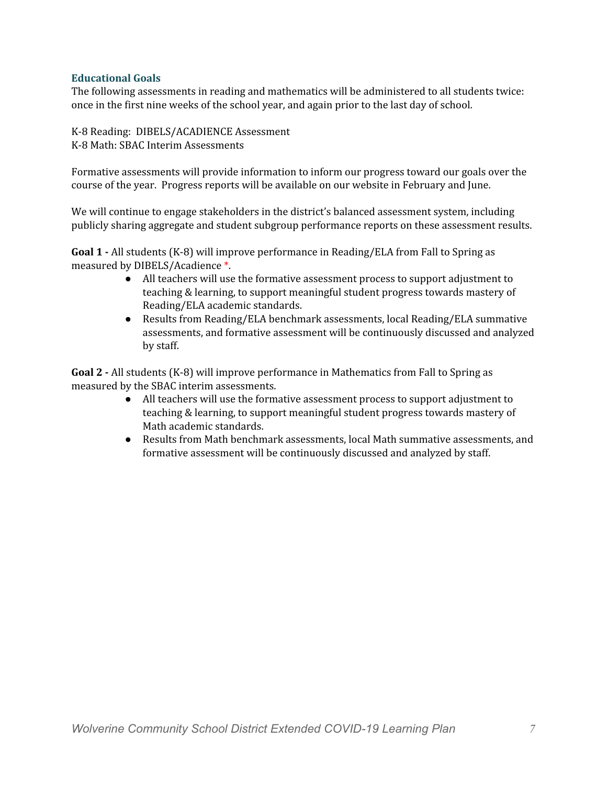#### **Educational Goals**

The following assessments in reading and mathematics will be administered to all students twice: once in the first nine weeks of the school year, and again prior to the last day of school.

K-8 Reading: DIBELS/ACADIENCE Assessment K-8 Math: SBAC Interim Assessments

Formative assessments will provide information to inform our progress toward our goals over the course of the year. Progress reports will be available on our website in February and June.

We will continue to engage stakeholders in the district's balanced assessment system, including publicly sharing aggregate and student subgroup performance reports on these assessment results.

**Goal 1 -** All students (K-8) will improve performance in Reading/ELA from Fall to Spring as measured by DIBELS/Acadience \*.

- All teachers will use the formative assessment process to support adjustment to teaching & learning, to support meaningful student progress towards mastery of Reading/ELA academic standards.
- Results from Reading/ELA benchmark assessments, local Reading/ELA summative assessments, and formative assessment will be continuously discussed and analyzed by staff.

**Goal 2 -** All students (K-8) will improve performance in Mathematics from Fall to Spring as measured by the SBAC interim assessments.

- All teachers will use the formative assessment process to support adjustment to teaching & learning, to support meaningful student progress towards mastery of Math academic standards.
- Results from Math benchmark assessments, local Math summative assessments, and formative assessment will be continuously discussed and analyzed by staff.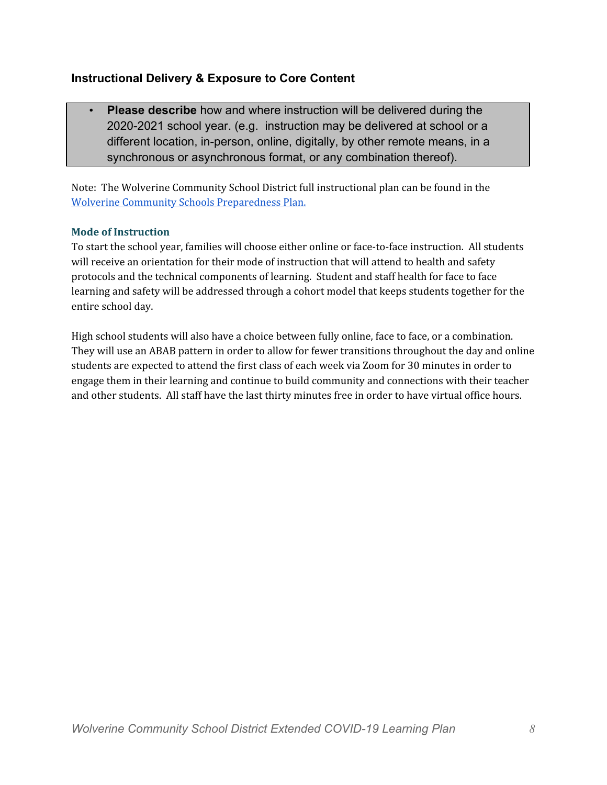#### **Instructional Delivery & Exposure to Core Content**

• **Please describe** how and where instruction will be delivered during the 2020-2021 school year. (e.g. instruction may be delivered at school or a different location, in-person, online, digitally, by other remote means, in a synchronous or asynchronous format, or any combination thereof).

Note: The Wolverine Community School District full instructional plan can be found in the Wolverine Community Schools [Preparedness](https://191ff471-bb25-4185-9fbb-2aaad5d73070.filesusr.com/ugd/a97de2_09efc9503dd44e77a205369b00edd921.pdf) Plan.

#### **Mode of Instruction**

To start the school year, families will choose either online or face-to-face instruction. All students will receive an orientation for their mode of instruction that will attend to health and safety protocols and the technical components of learning. Student and staff health for face to face learning and safety will be addressed through a cohort model that keeps students together for the entire school day.

High school students will also have a choice between fully online, face to face, or a combination. They will use an ABAB pattern in order to allow for fewer transitions throughout the day and online students are expected to attend the first class of each week via Zoom for 30 minutes in order to engage them in their learning and continue to build community and connections with their teacher and other students. All staff have the last thirty minutes free in order to have virtual office hours.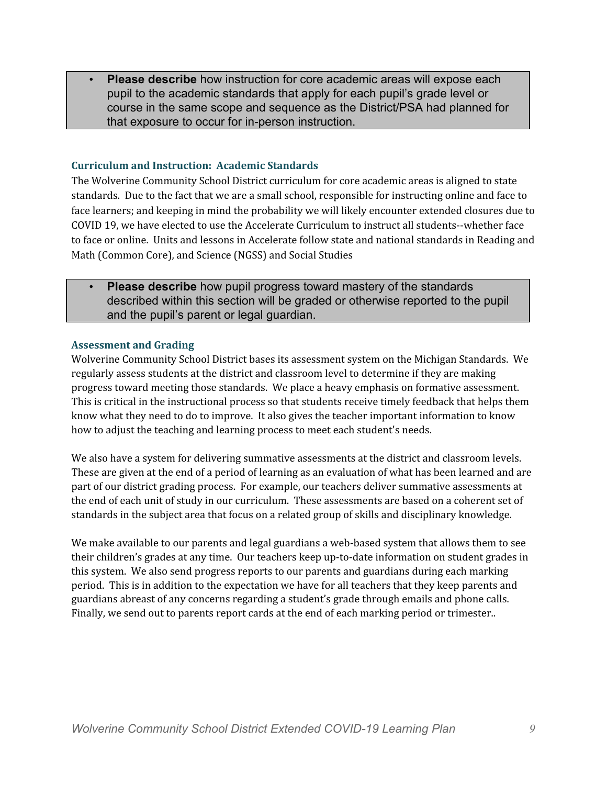• **Please describe** how instruction for core academic areas will expose each pupil to the academic standards that apply for each pupil's grade level or course in the same scope and sequence as the District/PSA had planned for that exposure to occur for in-person instruction.

#### **Curriculum and Instruction: Academic Standards**

The Wolverine Community School District curriculum for core academic areas is aligned to state standards. Due to the fact that we are a small school, responsible for instructing online and face to face learners; and keeping in mind the probability we will likely encounter extended closures due to COVID 19, we have elected to use the Accelerate Curriculum to instruct all students--whether face to face or online. Units and lessons in Accelerate follow state and national standards in Reading and Math (Common Core), and Science (NGSS) and Social Studies

• **Please describe** how pupil progress toward mastery of the standards described within this section will be graded or otherwise reported to the pupil and the pupil's parent or legal guardian.

#### **Assessment and Grading**

Wolverine Community School District bases its assessment system on the Michigan Standards. We regularly assess students at the district and classroom level to determine if they are making progress toward meeting those standards. We place a heavy emphasis on formative assessment. This is critical in the instructional process so that students receive timely feedback that helps them know what they need to do to improve. It also gives the teacher important information to know how to adjust the teaching and learning process to meet each student's needs.

We also have a system for delivering summative assessments at the district and classroom levels. These are given at the end of a period of learning as an evaluation of what has been learned and are part of our district grading process. For example, our teachers deliver summative assessments at the end of each unit of study in our curriculum. These assessments are based on a coherent set of standards in the subject area that focus on a related group of skills and disciplinary knowledge.

We make available to our parents and legal guardians a web-based system that allows them to see their children's grades at any time. Our teachers keep up-to-date information on student grades in this system. We also send progress reports to our parents and guardians during each marking period. This is in addition to the expectation we have for all teachers that they keep parents and guardians abreast of any concerns regarding a student's grade through emails and phone calls. Finally, we send out to parents report cards at the end of each marking period or trimester..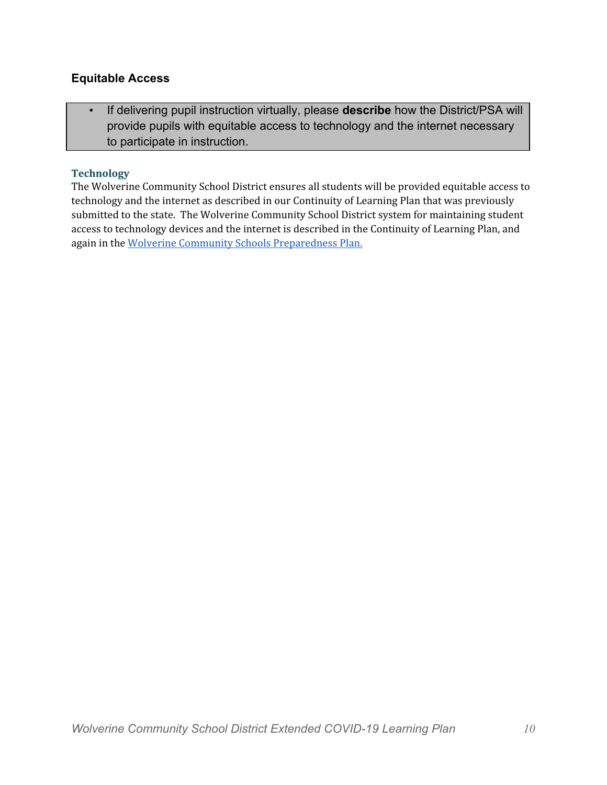#### **Equitable Access**

• If delivering pupil instruction virtually, please **describe** how the District/PSA will provide pupils with equitable access to technology and the internet necessary to participate in instruction.

#### **Technology**

The Wolverine Community School District ensures all students will be provided equitable access to technology and the internet as described in our Continuity of Learning Plan that was previously submitted to the state. The Wolverine Community School District system for maintaining student access to technology devices and the internet is described in the Continuity of Learning Plan, and again in the Wolverine Community Schools [Preparedness](https://191ff471-bb25-4185-9fbb-2aaad5d73070.filesusr.com/ugd/a97de2_09efc9503dd44e77a205369b00edd921.pdf) Plan.